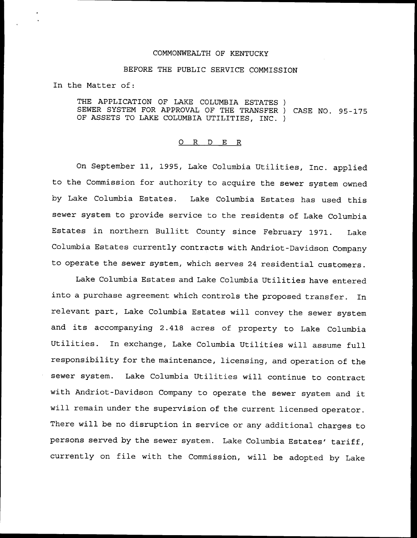## COMMONWEALTH OF KENTUCKY

## BEFORE THE PUBLIC SERVICE COMMISSION

In the Matter of:

THE APPLICATION OF LAKE COLUMBIA ESTATES ) SEWER SYSTEM FOR APPROVAL OF THE TRANSFER ) CASE NO. 95-175 OF ASSETS TO LAKE COLUMBIA UTILITIES, INC. )

## 0 R <sup>D</sup> E R

On September 11, 1995, Lake Columbia Utilities, Inc. applied to the Commission for authority to acquire the sewer system owned by Lake Columbia Estates. Lake Columbia Estates has used this sewer system to provide service to the residents of Lake Columbia Estates in northern Bullitt County since February 1971. Lake Columbia Estates currently contracts with Andriot-Davidson Company to operate the sewer system, which serves <sup>24</sup> residential customers.

Lake Columbia Estates and Lake Columbia Utilities have entered into a purchase agreement which controls the proposed transfer. In relevant part, Lake Columbia Estates will convey the sewer system and its accompanying 2.418 acres of property to Lake Columbia Utilities. In exchange, Lake Columbia Utilities will assume full responsibility for the maintenance, licensing, and operation of the sewer system. Lake Columbia Utilities will continue to contract with Andriot-Davidson Company to operate the sewer system and it will remain under the supervision of the current licensed operator. There will be no disruption in service or any additional charges to persons served by the sewer system. Lake Columbia Estates' tariff, currently on file with the Commission, will be adopted by Lake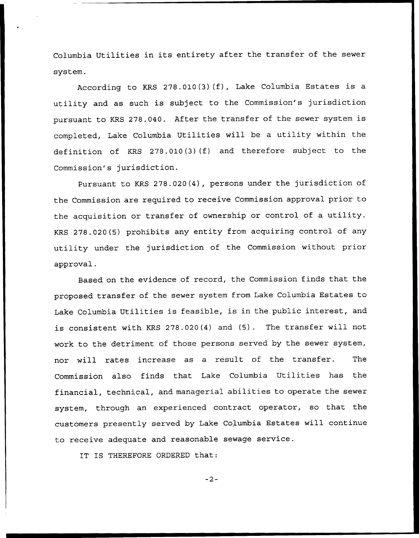Columbia Utilities in its entirety after the transfer of the sewer system.

According to KRS 278.010(3)(f), Lake Columbia Estates is a utility and as such is subject to the Commission's jurisdiction pursuant to KRS 278.040. After the transfer of the sewer system is completed, Lake Columbia Utilities will be a utility within the definition of KRS 278.010(3)(f) and therefore subject to the Commission's jurisdiction.

Pursuant to KRS 278.020(4), persons under the jurisdiction of the Commission are required to receive Commission approval prior to the acquisition or transfer of ownership or control of <sup>a</sup> utility. KRS 278.020(5) prohibits any entity from acquiring control of any utility under the jurisdiction of the Commission without prior approval.

Based on the evidence of record, the Commission finds that the proposed transfer of the sewer system from Lake Columbia Estates to Lake Columbia Utilities is feasible, is in the public interest, and is consistent with KRS 278.020(4) and (5). The transfer will not work to the detriment of those persons served by the sewer system, nor will rates increase as a result of the transfer. The Commission also finds that Lake Columbia Utilities has the financial, technical, and managerial abilities to operate the sewer system, through an experienced contract operator, so that the customers presently served by Lake Columbia Estates will continue to receive adequate and reasonable sewage service.

IT IS THEREFORE ORDERED that:

 $-2-$